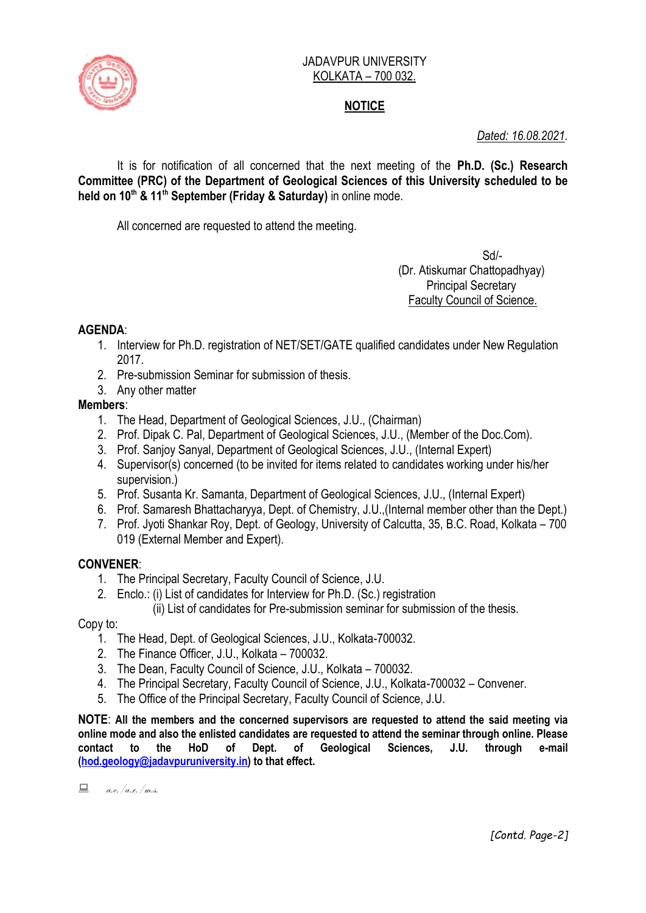

#### JADAVPUR UNIVERSITY KOLKATA – 700 032.

# **NOTICE**

*Dated: 16.08.2021.*

It is for notification of all concerned that the next meeting of the **Ph.D. (Sc.) Research Committee (PRC) of the Department of Geological Sciences of this University scheduled to be held on 10th & 11th September (Friday & Saturday)** in online mode.

All concerned are requested to attend the meeting.

Sd/- (Dr. Atiskumar Chattopadhyay) Principal Secretary Faculty Council of Science.

## **AGENDA**:

- 1. Interview for Ph.D. registration of NET/SET/GATE qualified candidates under New Regulation 2017.
- 2. Pre-submission Seminar for submission of thesis.
- 3. Any other matter

## **Members**:

- 1. The Head, Department of Geological Sciences, J.U., (Chairman)
- 2. Prof. Dipak C. Pal, Department of Geological Sciences, J.U., (Member of the Doc.Com).
- 3. Prof. Sanjoy Sanyal, Department of Geological Sciences, J.U., (Internal Expert)
- 4. Supervisor(s) concerned (to be invited for items related to candidates working under his/her supervision.)
- 5. Prof. Susanta Kr. Samanta, Department of Geological Sciences, J.U., (Internal Expert)
- 6. Prof. Samaresh Bhattacharyya, Dept. of Chemistry, J.U.,(Internal member other than the Dept.)
- 7. Prof. Jyoti Shankar Roy, Dept. of Geology, University of Calcutta, 35, B.C. Road, Kolkata 700 019 (External Member and Expert).

## **CONVENER**:

- 1. The Principal Secretary, Faculty Council of Science, J.U.
- 2. Enclo.: (i) List of candidates for Interview for Ph.D. (Sc.) registration

(ii) List of candidates for Pre-submission seminar for submission of the thesis.

Copy to:

- 1. The Head, Dept. of Geological Sciences, J.U., Kolkata-700032.
- 2. The Finance Officer, J.U., Kolkata 700032.
- 3. The Dean, Faculty Council of Science, J.U., Kolkata 700032.
- 4. The Principal Secretary, Faculty Council of Science, J.U., Kolkata-700032 Convener.
- 5. The Office of the Principal Secretary, Faculty Council of Science, J.U.

**NOTE**: **All the members and the concerned supervisors are requested to attend the said meeting via online mode and also the enlisted candidates are requested to attend the seminar through online. Please contact to the HoD of Dept. of Geological Sciences, J.U. through e-mail [\(hod.geology@jadavpuruniversity.in\)](mailto:hod.geology@jadavpuruniversity.in) to that effect.**

 $a.e. /a.s. /m.s.$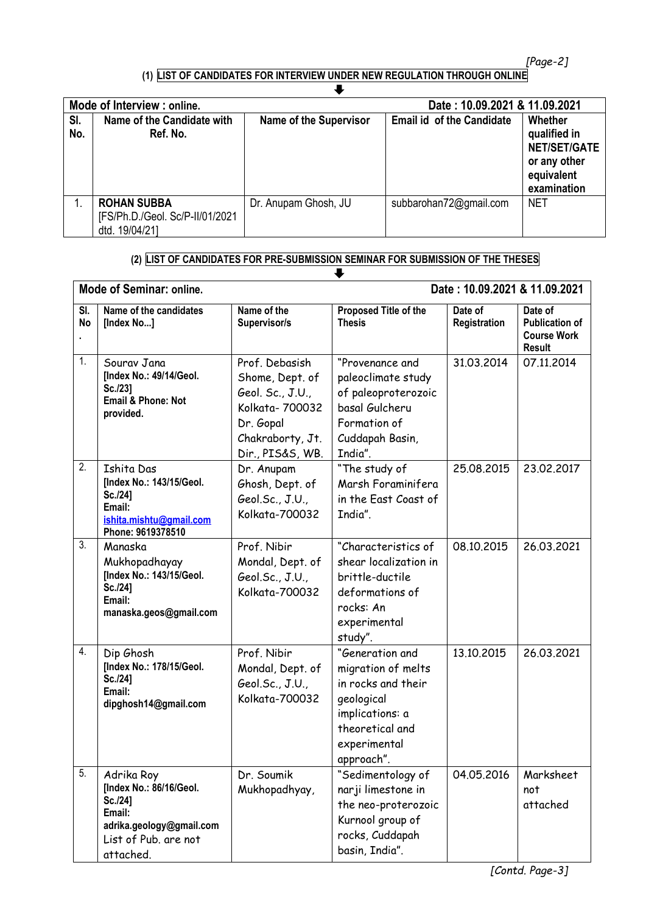*[Page-2]*

#### **(1) LIST OF CANDIDATES FOR INTERVIEW UNDER NEW REGULATION THROUGH ONLINE**

| Mode of Interview : online. |                                                                         |                               | Date: 10.09.2021 & 11.09.2021    |                                                                                             |  |
|-----------------------------|-------------------------------------------------------------------------|-------------------------------|----------------------------------|---------------------------------------------------------------------------------------------|--|
| SI.<br>No.                  | Name of the Candidate with<br>Ref. No.                                  | <b>Name of the Supervisor</b> | <b>Email id of the Candidate</b> | Whether<br>qualified in<br><b>NET/SET/GATE</b><br>or any other<br>equivalent<br>examination |  |
|                             | <b>ROHAN SUBBA</b><br>[FS/Ph.D./Geol. Sc/P-II/01/2021<br>dtd. 19/04/21] | Dr. Anupam Ghosh, JU          | subbarohan72@gmail.com           | <b>NET</b>                                                                                  |  |

#### **(2) LIST OF CANDIDATES FOR PRE-SUBMISSION SEMINAR FOR SUBMISSION OF THE THESES**

|                  | <b>Mode of Seminar: online.</b>                                                                                             |                                                                                                                               | Date: 10.09.2021 & 11.09.2021                                                                                                                 |                         |                                                                         |  |
|------------------|-----------------------------------------------------------------------------------------------------------------------------|-------------------------------------------------------------------------------------------------------------------------------|-----------------------------------------------------------------------------------------------------------------------------------------------|-------------------------|-------------------------------------------------------------------------|--|
| SI.<br><b>No</b> | Name of the candidates<br>[Index No]                                                                                        | Name of the<br>Supervisor/s                                                                                                   | Proposed Title of the<br><b>Thesis</b>                                                                                                        | Date of<br>Registration | Date of<br><b>Publication of</b><br><b>Course Work</b><br><b>Result</b> |  |
| 1.               | Sourav Jana<br>[Index No.: 49/14/Geol.<br>Sc./23]<br>Email & Phone: Not<br>provided.                                        | Prof. Debasish<br>Shome, Dept. of<br>Geol. Sc., J.U.,<br>Kolkata- 700032<br>Dr. Gopal<br>Chakraborty, Jt.<br>Dir., PIS&S, WB. | "Provenance and<br>paleoclimate study<br>of paleoproterozoic<br>basal Gulcheru<br>Formation of<br>Cuddapah Basin,<br>India".                  | 31.03.2014              | 07.11.2014                                                              |  |
| 2.               | Ishita Das<br>[Index No.: 143/15/Geol.<br>Sc./24]<br>Email:<br>ishita.mishtu@gmail.com<br>Phone: 9619378510                 | Dr. Anupam<br>Ghosh, Dept. of<br>Geol.Sc., J.U.,<br>Kolkata-700032                                                            | "The study of<br>Marsh Foraminifera<br>in the East Coast of<br>India".                                                                        | 25.08.2015              | 23.02.2017                                                              |  |
| 3.               | Manaska<br>Mukhopadhayay<br>[Index No.: 143/15/Geol.<br>Sc./24]<br>Email:<br>manaska.geos@gmail.com                         | Prof. Nibir<br>Mondal, Dept. of<br>Geol.Sc., J.U.,<br>Kolkata-700032                                                          | "Characteristics of<br>shear localization in<br>brittle-ductile<br>deformations of<br>rocks: An<br>experimental<br>study".                    | 08.10.2015              | 26.03.2021                                                              |  |
| 4.               | Dip Ghosh<br>[Index No.: 178/15/Geol.<br>Sc./24]<br>Email:<br>dipghosh14@gmail.com                                          | Prof. Nibir<br>Mondal, Dept. of<br>Geol.Sc., J.U.,<br>Kolkata-700032                                                          | "Generation and<br>migration of melts<br>in rocks and their<br>geological<br>implications: a<br>theoretical and<br>experimental<br>approach". | 13.10.2015              | 26.03.2021                                                              |  |
| 5.               | Adrika Roy<br>[Index No.: 86/16/Geol.<br>Sc./24]<br>Email:<br>adrika.geology@gmail.com<br>List of Pub. are not<br>attached. | Dr. Soumik<br>Mukhopadhyay,                                                                                                   | "Sedimentology of<br>narji limestone in<br>the neo-proterozoic<br>Kurnool group of<br>rocks, Cuddapah<br>basin, India".                       | 04.05.2016              | Marksheet<br>not<br>attached                                            |  |

*[Contd. Page-3]*